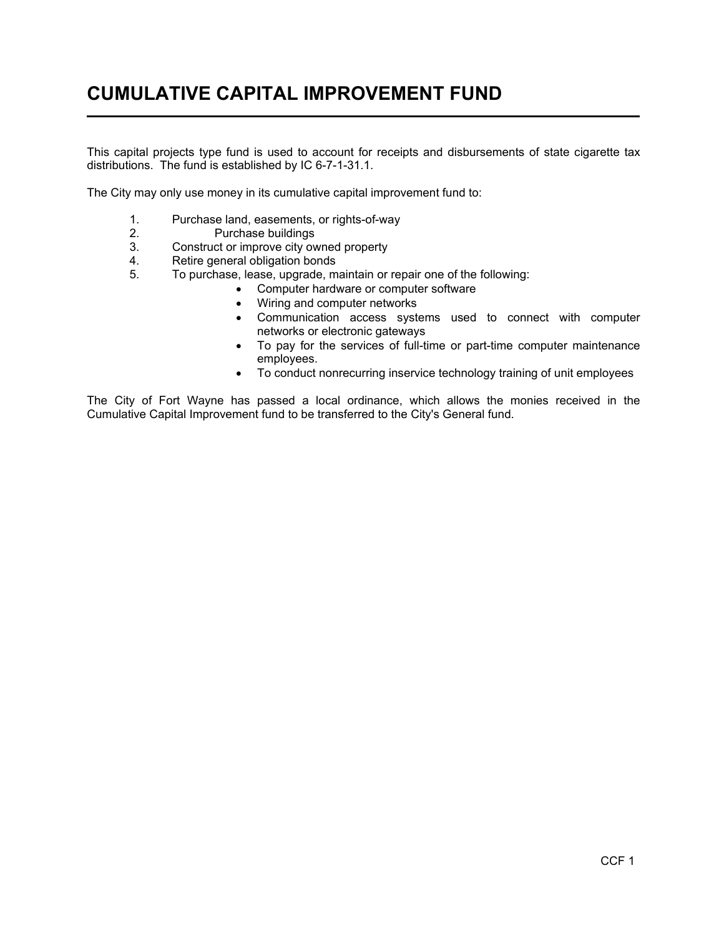## CUMULATIVE CAPITAL IMPROVEMENT FUND  $\overline{a}$

This capital projects type fund is used to account for receipts and disbursements of state cigarette tax distributions. The fund is established by IC 6-7-1-31.1.

The City may only use money in its cumulative capital improvement fund to:

- 1. Purchase land, easements, or rights-of-way<br>2. Purchase buildings
- 2. Purchase buildings<br>3. Construct or improve city over
- 3. Construct or improve city owned property<br>4. Retire general obligation bonds
- Retire general obligation bonds
- 5. To purchase, lease, upgrade, maintain or repair one of the following:
	- Computer hardware or computer software
		- Wiring and computer networks
		- Communication access systems used to connect with computer networks or electronic gateways
		- To pay for the services of full-time or part-time computer maintenance employees.
		- To conduct nonrecurring inservice technology training of unit employees

The City of Fort Wayne has passed a local ordinance, which allows the monies received in the Cumulative Capital Improvement fund to be transferred to the City's General fund.